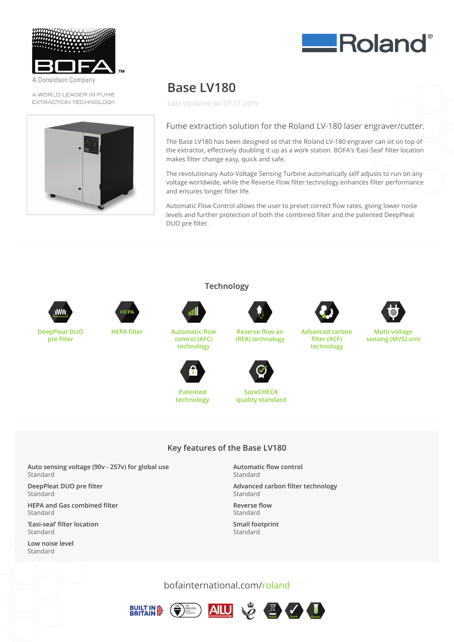

Donaldson Company

A WORLD LEADER IN FUME EXTRACTION TECHNOLOGY



## **Base LV180**

**Last Updated on 07.11.2019**



The Base LV180 has been designed so that the Roland LV-180 engraver can sit on top of the extractor, effectively doubling it up as a work station. BOFA's 'Easi-Seal' filter location Fume extraction solution for the Roland LV-180 laser engraver/cutter. makes filter change easy, quick and safe.

The revolutionary Auto-Voltage Sensing Turbine automatically self adjusts to run on any $\hat{ }$ The revolutionary Adto-Voltage Sensing Turbine adtomatedily seir adjusts to furformance<br>Voltage worldwide, while the Reverse Flow filter technology enhances filter performance and ensures longer filter life. make worldwide, write the neverse flow

Automatic Flow Control allows the user to preset correct flow rates, giving lower noise valumed from control allows the dser to preset correct how fattes, giving lower flowe<br>levels and further protection of both the combined filter and the patented DeepPleat DUO pre filter. and turner protection t



**pre filter**





**HEPA filter Automatic flow control (AFC) technology**



**Patented technology**



**SureCHECK quality standard**

**Reverse flow air (RFA) technology**

**Reverse flow air (RFA) technology**



**Advanced carbon filter (ACF) technology**



**ERoland**®

**Multi voltage sensing (MVS) unit**

## **Key features of the Base LV180**

**Technology**

**Auto sensing voltage (90v - 257v) for global use** Standard

**DeepPleat DUO pre filter** Standard **Auto sensing voltage (90v - 257v) for global use**

**HEPA and Gas combined filter Deepleat Duo present Duo present and all the prefilter** 

**'Easi-seal' filter location Head and Gas combined filter** 

Low noise level  $Standard$  *Easi-sea* **in the location of the location of the location of the location of the location** 

**Automatic flow control**  $K$ ey features of the Base Library Standard

> **Advanced carbon filter technology Automatic flow control**

**Reverse flow Advanced carbon filter technology** 

**Small footprint** Standard

bofainternational.com/roland





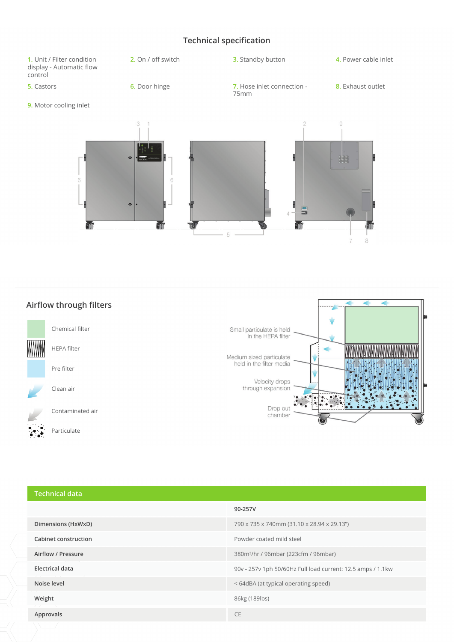## **Technical specification**







**Airflow through filters** Chemical filter HEPA filter



Clean air

Contaminated air

Particulate



| <b>Technical data</b>  |                                                             |
|------------------------|-------------------------------------------------------------|
|                        | 90-257V                                                     |
| Dimensions (HxWxD)     | 790 x 735 x 740mm (31.10 x 28.94 x 29.13")                  |
| Cabinet construction   | Powder coated mild steel                                    |
| Airflow / Pressure     | 380m <sup>3</sup> /hr / 96mbar (223cfm / 96mbar)            |
| <b>Electrical data</b> | 90v - 257v 1ph 50/60Hz Full load current: 12.5 amps / 1.1kw |
| Noise level            | <64dBA (at typical operating speed)                         |
| Weight                 | 86kg (189lbs)                                               |
| Approvals              | <b>CE</b>                                                   |